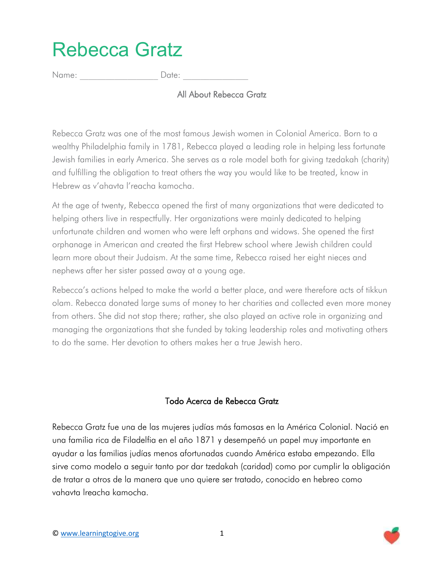## Rebecca Gratz

Name:  $\Box$  Date:

All About Rebecca Gratz

Rebecca Gratz was one of the most famous Jewish women in Colonial America. Born to a wealthy Philadelphia family in 1781, Rebecca played a leading role in helping less fortunate Jewish families in early America. She serves as a role model both for giving tzedakah (charity) and fulfilling the obligation to treat others the way you would like to be treated, know in Hebrew as v'ahavta l'reacha kamocha.

At the age of twenty, Rebecca opened the first of many organizations that were dedicated to helping others live in respectfully. Her organizations were mainly dedicated to helping unfortunate children and women who were left orphans and widows. She opened the first orphanage in American and created the first Hebrew school where Jewish children could learn more about their Judaism. At the same time, Rebecca raised her eight nieces and nephews after her sister passed away at a young age.

Rebecca's actions helped to make the world a better place, and were therefore acts of tikkun olam. Rebecca donated large sums of money to her charities and collected even more money from others. She did not stop there; rather, she also played an active role in organizing and managing the organizations that she funded by taking leadership roles and motivating others to do the same. Her devotion to others makes her a true Jewish hero.

## Todo Acerca de Rebecca Gratz

Rebecca Gratz fue una de las mujeres judías más famosas en la América Colonial. Nació en una familia rica de Filadelfia en el año 1871 y desempeñó un papel muy importante en ayudar a las familias judías menos afortunadas cuando América estaba empezando. Ella sirve como modelo a seguir tanto por dar tzedakah (caridad) como por cumplir la obligación de tratar a otros de la manera que uno quiere ser tratado, conocido en hebreo como vahavta lreacha kamocha.